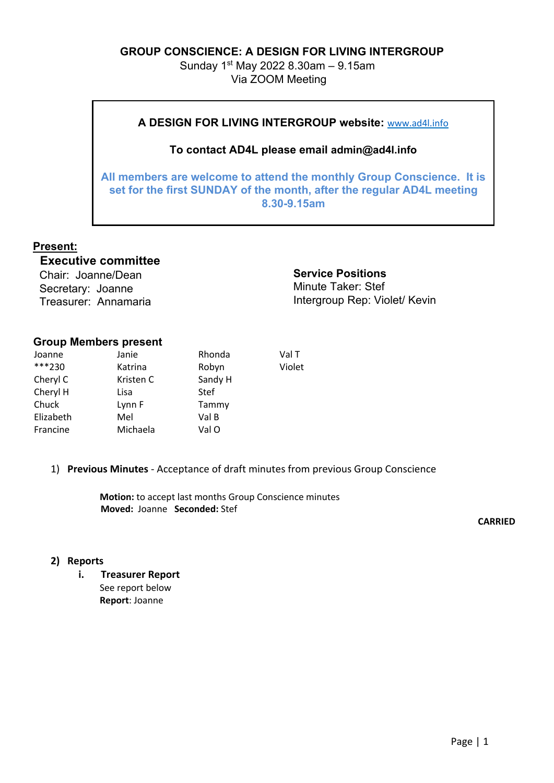### **GROUP CONSCIENCE: A DESIGN FOR LIVING INTERGROUP**

Sunday 1st May 2022 8.30am – 9.15am Via ZOOM Meeting

# **A DESIGN FOR LIVING INTERGROUP website:** www.ad4l.info

### **To contact AD4L please email admin@ad4l.info**

**All members are welcome to attend the monthly Group Conscience. It is set for the first SUNDAY of the month, after the regular AD4L meeting 8.30-9.15am**

# **Present:**

# **Executive committee**

Chair: Joanne/Dean Secretary: Joanne Treasurer: Annamaria **Service Positions**  Minute Taker: Stef Intergroup Rep: Violet/ Kevin

#### **Group Members present**

| Joanne    | Janie     | Rhonda  | Val T  |
|-----------|-----------|---------|--------|
| ***230    | Katrina   | Robyn   | Violet |
| Cheryl C  | Kristen C | Sandy H |        |
| Cheryl H  | Lisa      | Stef    |        |
| Chuck     | Lynn F    | Tammy   |        |
| Elizabeth | Mel       | Val B   |        |
| Francine  | Michaela  | Val O   |        |
|           |           |         |        |

### 1) **Previous Minutes** - Acceptance of draft minutes from previous Group Conscience

**Motion:** to accept last months Group Conscience minutes **Moved:** Joanne **Seconded:** Stef

**CARRIED**

### **2) Reports**

**i. Treasurer Report** See report below **Report**: Joanne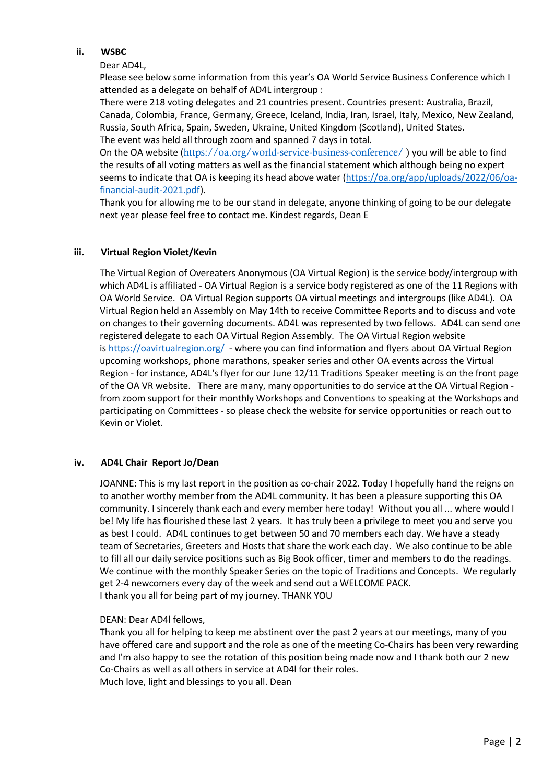#### **ii. WSBC**

Dear AD4L,

Please see below some information from this year's OA World Service Business Conference which I attended as a delegate on behalf of AD4L intergroup :

There were 218 voting delegates and 21 countries present. Countries present: Australia, Brazil, Canada, Colombia, France, Germany, Greece, Iceland, India, Iran, Israel, Italy, Mexico, New Zealand, Russia, South Africa, Spain, Sweden, Ukraine, United Kingdom (Scotland), United States. The event was held all through zoom and spanned 7 days in total.

On the OA website (https://oa.org/world-service-business-conference/) you will be able to find the results of all voting matters as well as the financial statement which although being no expert seems to indicate that OA is keeping its head above water (https://oa.org/app/uploads/2022/06/oafinancial-audit-2021.pdf).

Thank you for allowing me to be our stand in delegate, anyone thinking of going to be our delegate next year please feel free to contact me. Kindest regards, Dean E

#### **iii. Virtual Region Violet/Kevin**

The Virtual Region of Overeaters Anonymous (OA Virtual Region) is the service body/intergroup with which AD4L is affiliated - OA Virtual Region is a service body registered as one of the 11 Regions with OA World Service. OA Virtual Region supports OA virtual meetings and intergroups (like AD4L). OA Virtual Region held an Assembly on May 14th to receive Committee Reports and to discuss and vote on changes to their governing documents. AD4L was represented by two fellows. AD4L can send one registered delegate to each OA Virtual Region Assembly. The OA Virtual Region website is https://oavirtualregion.org/ - where you can find information and flyers about OA Virtual Region upcoming workshops, phone marathons, speaker series and other OA events across the Virtual Region - for instance, AD4L's flyer for our June 12/11 Traditions Speaker meeting is on the front page of the OA VR website. There are many, many opportunities to do service at the OA Virtual Region from zoom support for their monthly Workshops and Conventions to speaking at the Workshops and participating on Committees - so please check the website for service opportunities or reach out to Kevin or Violet.

#### **iv. AD4L Chair Report Jo/Dean**

JOANNE: This is my last report in the position as co-chair 2022. Today I hopefully hand the reigns on to another worthy member from the AD4L community. It has been a pleasure supporting this OA community. I sincerely thank each and every member here today! Without you all ... where would I be! My life has flourished these last 2 years. It has truly been a privilege to meet you and serve you as best I could. AD4L continues to get between 50 and 70 members each day. We have a steady team of Secretaries, Greeters and Hosts that share the work each day. We also continue to be able to fill all our daily service positions such as Big Book officer, timer and members to do the readings. We continue with the monthly Speaker Series on the topic of Traditions and Concepts. We regularly get 2-4 newcomers every day of the week and send out a WELCOME PACK. I thank you all for being part of my journey. THANK YOU

#### DEAN: Dear AD4l fellows,

Thank you all for helping to keep me abstinent over the past 2 years at our meetings, many of you have offered care and support and the role as one of the meeting Co-Chairs has been very rewarding and I'm also happy to see the rotation of this position being made now and I thank both our 2 new Co-Chairs as well as all others in service at AD4l for their roles. Much love, light and blessings to you all. Dean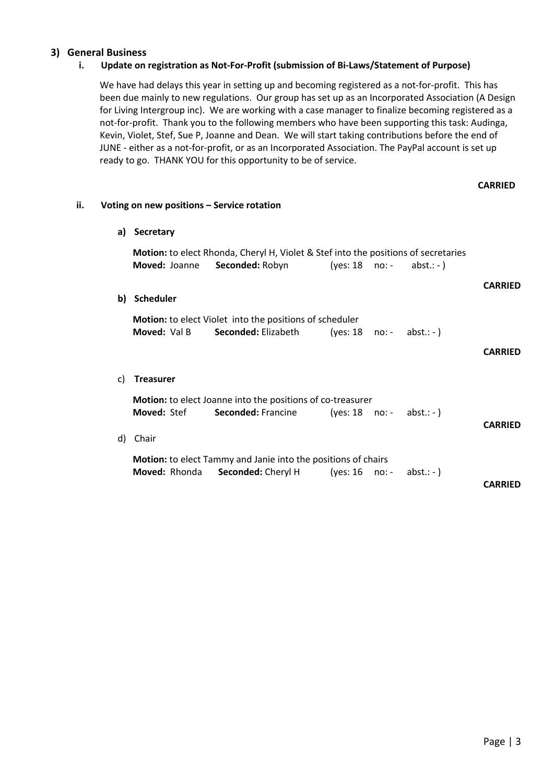### **3) General Business**

#### **i. Update on registration as Not-For-Profit (submission of Bi-Laws/Statement of Purpose)**

We have had delays this year in setting up and becoming registered as a not-for-profit. This has been due mainly to new regulations. Our group has set up as an Incorporated Association (A Design for Living Intergroup inc). We are working with a case manager to finalize becoming registered as a not-for-profit. Thank you to the following members who have been supporting this task: Audinga, Kevin, Violet, Stef, Sue P, Joanne and Dean. We will start taking contributions before the end of JUNE - either as a not-for-profit, or as an Incorporated Association. The PayPal account is set up ready to go. THANK YOU for this opportunity to be of service.

| ii. |    | Voting on new positions - Service rotation |                                                                                                              |                          |        |              |                |
|-----|----|--------------------------------------------|--------------------------------------------------------------------------------------------------------------|--------------------------|--------|--------------|----------------|
|     | a) | Secretary                                  |                                                                                                              |                          |        |              |                |
|     |    | Moved: Joanne                              | Motion: to elect Rhonda, Cheryl H, Violet & Stef into the positions of secretaries<br><b>Seconded: Robyn</b> | $(yes: 18 no:-$          |        | abst.: $-$ ) |                |
|     | b) | <b>Scheduler</b>                           |                                                                                                              |                          |        |              | <b>CARRIED</b> |
|     |    | Moved: Val B                               | <b>Motion:</b> to elect Violet into the positions of scheduler<br>Seconded: Elizabeth                        | $(yes: 18 no:- abst.:-)$ |        |              | <b>CARRIED</b> |
|     | C) | <b>Treasurer</b>                           |                                                                                                              |                          |        |              |                |
|     |    | <b>Moved: Stef</b>                         | Motion: to elect Joanne into the positions of co-treasurer<br>Seconded: Francine                             | (yes: $18$ no: -         |        | abst.: $-$ ) | <b>CARRIED</b> |
|     | d) | Chair                                      |                                                                                                              |                          |        |              |                |
|     |    | Moved: Rhonda                              | <b>Motion:</b> to elect Tammy and Janie into the positions of chairs<br>Seconded: Cheryl H                   | (yes: 16)                | no:  - | abst.: - $)$ | <b>CARRIED</b> |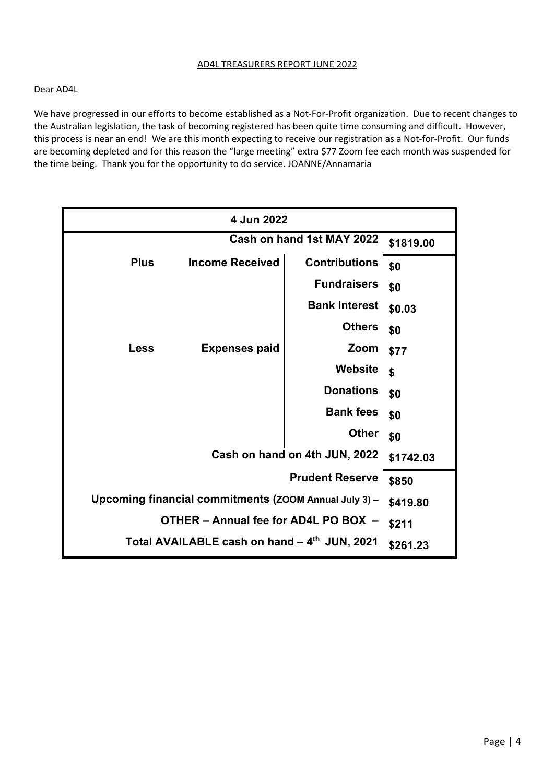#### AD4L TREASURERS REPORT JUNE 2022

#### Dear AD4L

We have progressed in our efforts to become established as a Not-For-Profit organization. Due to recent changes to the Australian legislation, the task of becoming registered has been quite time consuming and difficult. However, this process is near an end! We are this month expecting to receive our registration as a Not-for-Profit. Our funds are becoming depleted and for this reason the "large meeting" extra \$77 Zoom fee each month was suspended for the time being. Thank you for the opportunity to do service. JOANNE/Annamaria

| 4 Jun 2022                                            |           |                      |           |  |  |
|-------------------------------------------------------|-----------|----------------------|-----------|--|--|
| Cash on hand 1st MAY 2022                             |           |                      | \$1819.00 |  |  |
| <b>Plus</b><br><b>Income Received</b>                 |           | <b>Contributions</b> | \$0       |  |  |
|                                                       |           | <b>Fundraisers</b>   | \$0       |  |  |
|                                                       |           | <b>Bank Interest</b> | \$0.03    |  |  |
|                                                       |           | <b>Others</b>        | \$0       |  |  |
| <b>Expenses paid</b><br><b>Less</b>                   |           | Zoom                 | \$77      |  |  |
|                                                       |           | <b>Website</b>       | \$        |  |  |
|                                                       |           | <b>Donations</b>     | \$0       |  |  |
|                                                       |           | <b>Bank fees</b>     | \$0       |  |  |
|                                                       |           | <b>Other</b>         | \$0       |  |  |
| Cash on hand on 4th JUN, 2022                         | \$1742.03 |                      |           |  |  |
|                                                       | \$850     |                      |           |  |  |
| Upcoming financial commitments (ZOOM Annual July 3) - | \$419.80  |                      |           |  |  |
| OTHER - Annual fee for AD4L PO BOX -                  | \$211     |                      |           |  |  |
| Total AVAILABLE cash on hand - 4th JUN, 2021          | \$261.23  |                      |           |  |  |
|                                                       |           |                      |           |  |  |